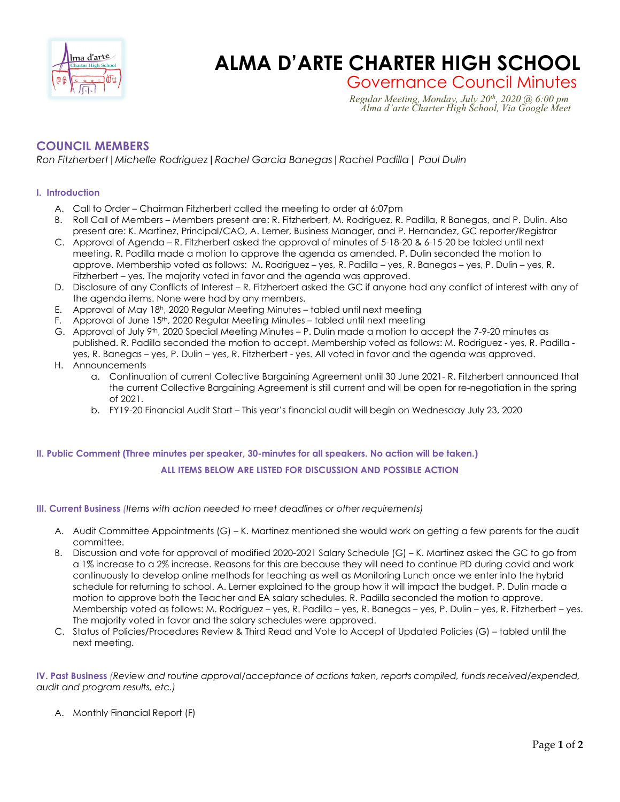

# **Enged Zart Computer ALMA D'ARTE CHARTER HIGH SCHOOL**

Governance Council Minutes *Regular Meeting, Monday, July 20th, 2020 @ 6:00 pm Alma d'arte Charter High School, Via Google Meet*

## **COUNCIL MEMBERS**

*Ron Fitzherbert|Michelle Rodriguez|Rachel Garcia Banegas|Rachel Padilla| Paul Dulin*

### **I. Introduction**

- A. Call to Order Chairman Fitzherbert called the meeting to order at 6:07pm
- B. Roll Call of Members Members present are: R. Fitzherbert, M. Rodriguez, R. Padilla, R Banegas, and P. Dulin. Also present are: K. Martinez, Principal/CAO, A. Lerner, Business Manager, and P. Hernandez, GC reporter/Registrar
- C. Approval of Agenda R. Fitzherbert asked the approval of minutes of 5-18-20 & 6-15-20 be tabled until next meeting. R. Padilla made a motion to approve the agenda as amended. P. Dulin seconded the motion to approve. Membership voted as follows: M. Rodriguez – yes, R. Padilla – yes, R. Banegas – yes, P. Dulin – yes, R. Fitzherbert – yes. The majority voted in favor and the agenda was approved.
- D. Disclosure of any Conflicts of Interest R. Fitzherbert asked the GC if anyone had any conflict of interest with any of the agenda items. None were had by any members.
- E. Approval of May 18h, 2020 Regular Meeting Minutes tabled until next meeting
- F. Approval of June 15<sup>th</sup>, 2020 Regular Meeting Minutes tabled until next meeting
- G. Approval of July 9th, 2020 Special Meeting Minutes P. Dulin made a motion to accept the 7-9-20 minutes as published. R. Padilla seconded the motion to accept. Membership voted as follows: M. Rodriguez - yes, R. Padilla yes, R. Banegas – yes, P. Dulin – yes, R. Fitzherbert - yes. All voted in favor and the agenda was approved.
- H. Announcements
	- a. Continuation of current Collective Bargaining Agreement until 30 June 2021- R. Fitzherbert announced that the current Collective Bargaining Agreement is still current and will be open for re-negotiation in the spring of 2021.
	- b. FY19-20 Financial Audit Start This year's financial audit will begin on Wednesday July 23, 2020

## **II. Public Comment (Three minutes per speaker, 30-minutes for all speakers. No action will be taken.) ALL ITEMS BELOW ARE LISTED FOR DISCUSSION AND POSSIBLE ACTION**

#### **III. Current Business** *(Items with action needed to meet deadlines or other requirements)*

- A. Audit Committee Appointments (G) K. Martinez mentioned she would work on getting a few parents for the audit committee.
- B. Discussion and vote for approval of modified 2020-2021 Salary Schedule (G) K. Martinez asked the GC to go from a 1% increase to a 2% increase. Reasons for this are because they will need to continue PD during covid and work continuously to develop online methods for teaching as well as Monitoring Lunch once we enter into the hybrid schedule for returning to school. A. Lerner explained to the group how it will impact the budget. P. Dulin made a motion to approve both the Teacher and EA salary schedules. R. Padilla seconded the motion to approve. Membership voted as follows: M. Rodriguez – yes, R. Padilla – yes, R. Banegas – yes, P. Dulin – yes, R. Fitzherbert – yes. The majority voted in favor and the salary schedules were approved.
- C. Status of Policies/Procedures Review & Third Read and Vote to Accept of Updated Policies (G) tabled until the next meeting.

**IV. Past Business** *(Review and routine approval/acceptance of actions taken, reports compiled, funds received/expended, audit and program results, etc.)*

A. Monthly Financial Report (F)